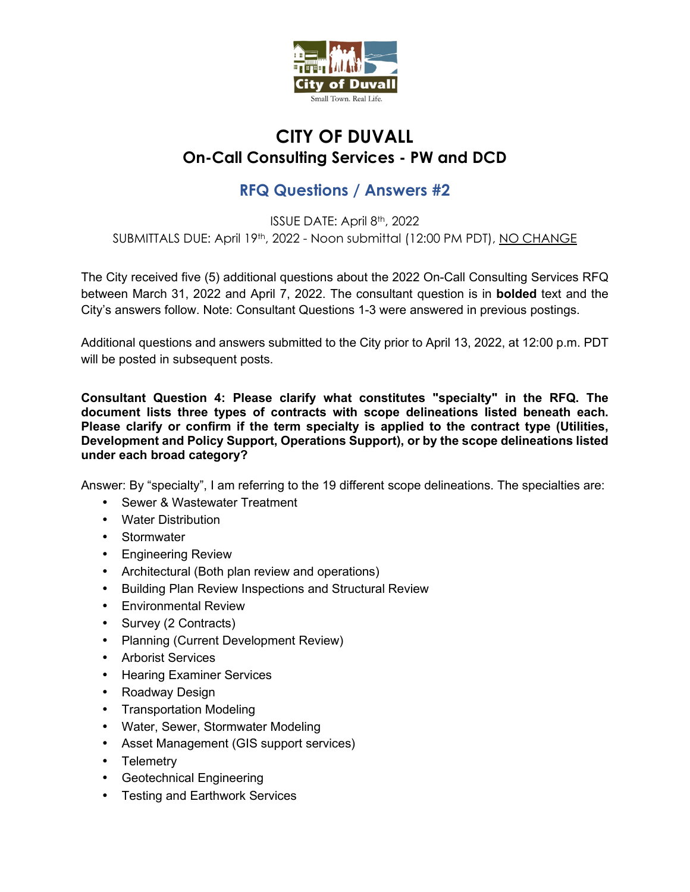

## **CITY OF DUVALL On-Call Consulting Services - PW and DCD**

# **RFQ Questions / Answers #2**

ISSUE DATE: April 8th, 2022 SUBMITTALS DUE: April 19th, 2022 - Noon submittal (12:00 PM PDT), NO CHANGE

The City received five (5) additional questions about the 2022 On-Call Consulting Services RFQ between March 31, 2022 and April 7, 2022. The consultant question is in **bolded** text and the City's answers follow. Note: Consultant Questions 1-3 were answered in previous postings.

Additional questions and answers submitted to the City prior to April 13, 2022, at 12:00 p.m. PDT will be posted in subsequent posts.

**Consultant Question 4: Please clarify what constitutes "specialty" in the RFQ. The document lists three types of contracts with scope delineations listed beneath each. Please clarify or confirm if the term specialty is applied to the contract type (Utilities, Development and Policy Support, Operations Support), or by the scope delineations listed under each broad category?** 

Answer: By "specialty", I am referring to the 19 different scope delineations. The specialties are:

- Sewer & Wastewater Treatment
- Water Distribution
- Stormwater
- Engineering Review
- Architectural (Both plan review and operations)
- Building Plan Review Inspections and Structural Review
- Environmental Review
- Survey (2 Contracts)
- Planning (Current Development Review)
- Arborist Services
- Hearing Examiner Services
- Roadway Design
- Transportation Modeling
- Water, Sewer, Stormwater Modeling
- Asset Management (GIS support services)
- Telemetry
- Geotechnical Engineering
- Testing and Earthwork Services